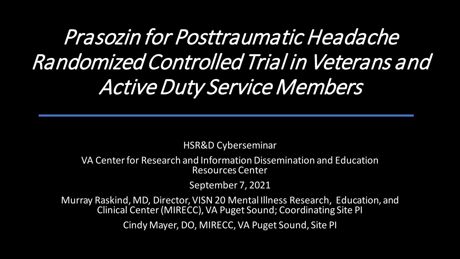Prasozin for Posttraumatic Headache Randomized Controlled Trial in Veterans and Active Duty Service Members

HSR&D Cyberseminar

VA Center for Research and Information Dissemination and Education Resources Center

September 7, 2021

Murray Raskind, MD, Director, VISN 20 Mental Illness Research, Education, and Clinical Center (MIRECC), VA Puget Sound; Coordinating Site PI

Cindy Mayer, DO, MIRECC, VA Puget Sound, Site PI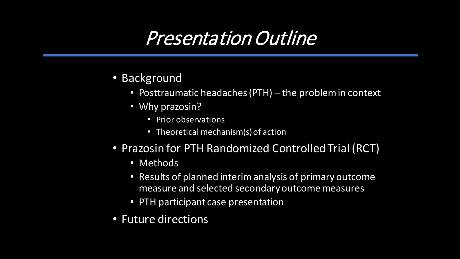# Presentation Outline

- Background
	- Posttraumatic headaches (PTH) the problem in context
	- Why prazosin?
		- Prior observations
		- Theoretical mechanism(s) of action
- Prazosin for PTH Randomized Controlled Trial (RCT)
	- Methods
	- Results of planned interim analysis of primary outcome measure and selected secondary outcome measures
	- PTH participant case presentation
- Future directions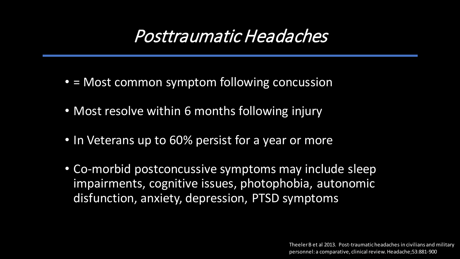#### Posttraumatic Headaches

- = Most common symptom following concussion
- Most resolve within 6 months following injury
- In Veterans up to 60% persist for a year or more
- Co-morbid postconcussive symptoms may include sleep impairments, cognitive issues, photophobia, autonomic disfunction, anxiety, depression, PTSD symptoms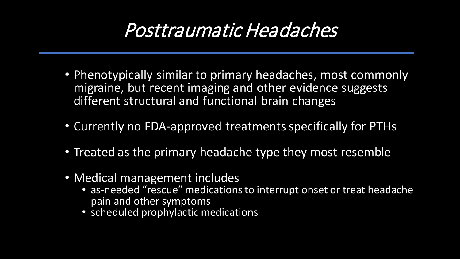# Posttraumatic Headaches

- Phenotypically similar to primary headaches, most commonly migraine, but recent imaging and other evidence suggests different structural and functional brain changes
- Currently no FDA-approved treatments specifically for PTHs
- Treated as the primary headache type they most resemble
- Medical management includes
	- as-needed "rescue" medications to interrupt onset or treat headache pain and other symptoms
	- scheduled prophylactic medications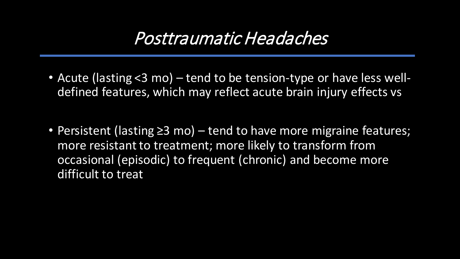#### Posttraumatic Headaches

- Acute (lasting <3 mo) tend to be tension-type or have less welldefined features, which may reflect acute brain injury effects vs
- Persistent (lasting ≥3 mo) tend to have more migraine features; more resistant to treatment; more likely to transform from occasional (episodic) to frequent (chronic) and become more difficult to treat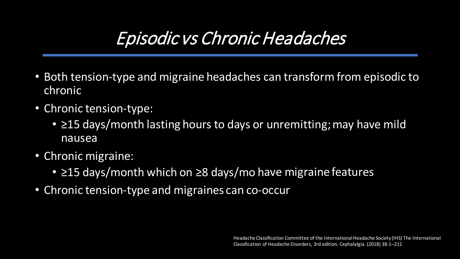# Episodic vs Chronic Headaches

- Both tension-type and migraine headaches can transform from episodic to chronic
- Chronic tension-type:
	- ≥15 days/month lasting hours to days or unremitting; may have mild nausea
- Chronic migraine:
	- ≥15 days/month which on ≥8 days/mo have migraine features
- Chronic tension-type and migraines can co-occur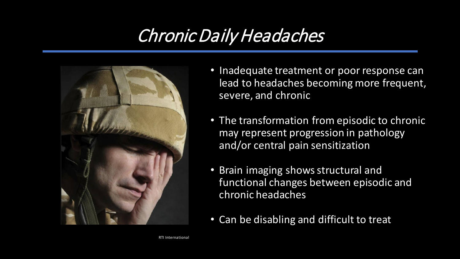# Chronic Daily Headaches



- Inadequate treatment or poor response can lead to headaches becoming more frequent, severe, and chronic
- The transformation from episodic to chronic may represent progression in pathology and/or central pain sensitization
- Brain imaging shows structural and functional changes between episodic and chronic headaches
- Can be disabling and difficult to treat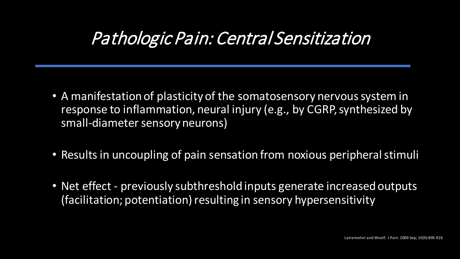#### Pathologic Pain: Central Sensitization

- A manifestation of plasticity of the somatosensory nervous system in response to inflammation, neural injury (e.g., by CGRP, synthesized by small-diameter sensory neurons)
- Results in uncoupling of pain sensation from noxious peripheral stimuli
- Net effect previously subthreshold inputs generate increased outputs (facilitation; potentiation) resulting in sensory hypersensitivity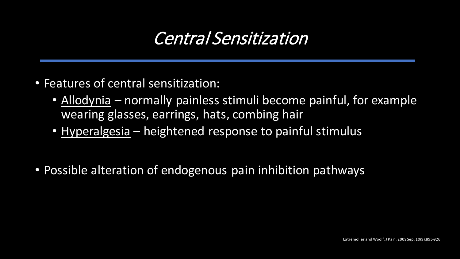#### Central Sensitization

- Features of central sensitization:
	- Allodynia normally painless stimuli become painful, for example wearing glasses, earrings, hats, combing hair
	- Hyperalgesia heightened response to painful stimulus
- Possible alteration of endogenous pain inhibition pathways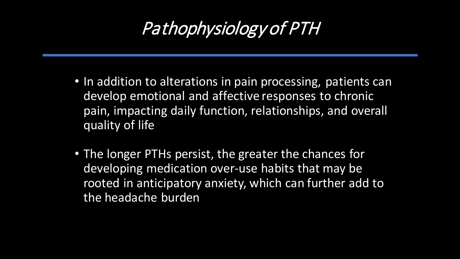# Pathophysiology of PTH

- In addition to alterations in pain processing, patients can develop emotional and affective responses to chronic pain, impacting daily function, relationships, and overall quality of life
- The longer PTHs persist, the greater the chances for developing medication over-use habits that may be rooted in anticipatory anxiety, which can further add to the headache burden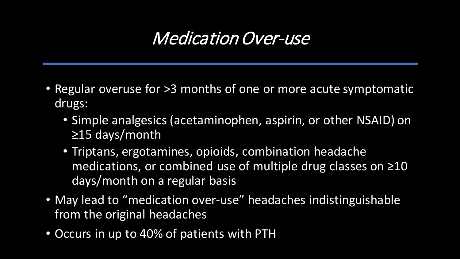#### Medication Over-use

- Regular overuse for >3 months of one or more acute symptomatic drugs:
	- Simple analgesics (acetaminophen, aspirin, or other NSAID) on ≥15 days/month
	- Triptans, ergotamines, opioids, combination headache medications, or combined use of multiple drug classes on ≥10 days/month on a regular basis
- May lead to "medication over-use" headaches indistinguishable from the original headaches
- Occurs in up to 40% of patients with PTH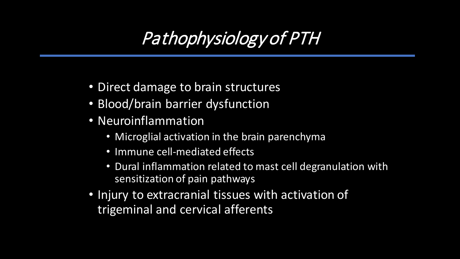# Pathophysiology of PTH

- Direct damage to brain structures
- Blood/brain barrier dysfunction
- Neuroinflammation
	- Microglial activation in the brain parenchyma
	- Immune cell-mediated effects
	- Dural inflammation related to mast cell degranulation with sensitization of pain pathways
- Injury to extracranial tissues with activation of trigeminal and cervical afferents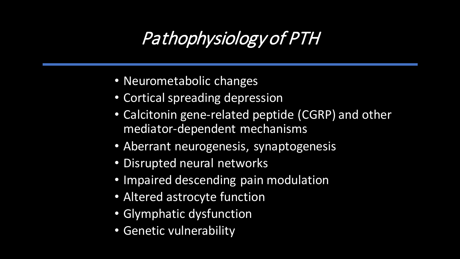# Pathophysiology of PTH

- Neurometabolic changes
- Cortical spreading depression
- Calcitonin gene-related peptide (CGRP) and other mediator-dependent mechanisms
- Aberrant neurogenesis, synaptogenesis
- Disrupted neural networks
- Impaired descending pain modulation
- Altered astrocyte function
- Glymphatic dysfunction
- Genetic vulnerability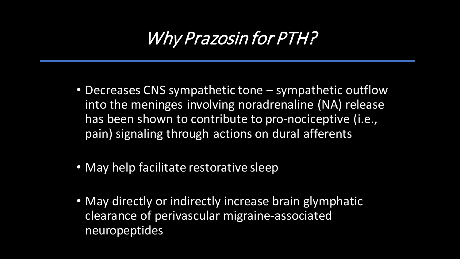## Why Prazosin for PTH?

- Decreases CNS sympathetic tone sympathetic outflow into the meninges involving noradrenaline (NA) release has been shown to contribute to pro-nociceptive (i.e., pain) signaling through actions on dural afferents
- May help facilitate restorative sleep
- May directly or indirectly increase brain glymphatic clearance of perivascular migraine-associated neuropeptides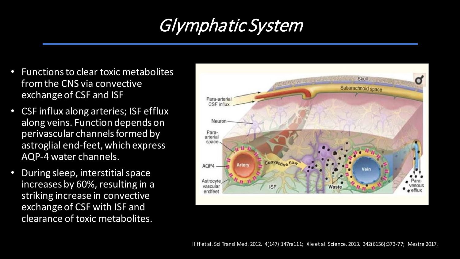#### Glymphatic System

- Functions to clear toxic metabolites from the CNS via convective exchange of CSF and ISF
- CSF influx along arteries; ISF efflux along veins. Function depends on perivascular channels formed by astroglial end-feet, which express AQP-4 water channels.
- During sleep, interstitial space increases by 60%, resulting in a striking increase in convective exchange of CSF with ISF and clearance of toxic metabolites.

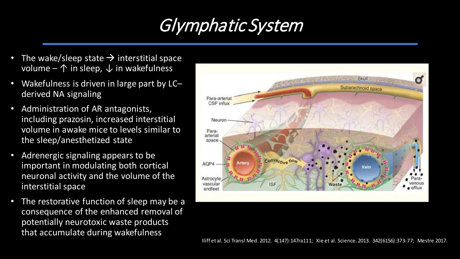## Glymphatic System

- The wake/sleep state  $\rightarrow$  interstitial space volume –  $\uparrow$  in sleep,  $\downarrow$  in wakefulness
- Wakefulness is driven in large part by LC– derived NA signaling
- Administration of AR antagonists, including prazosin, increased interstitial volume in awake mice to levels similar to the sleep/anesthetized state
- Adrenergic signaling appears to be important in modulating both cortical neuronal activity and the volume of the interstitial space
- The restorative function of sleep may be a consequence of the enhanced removal of potentially neurotoxic waste products that accumulate during wakefulness

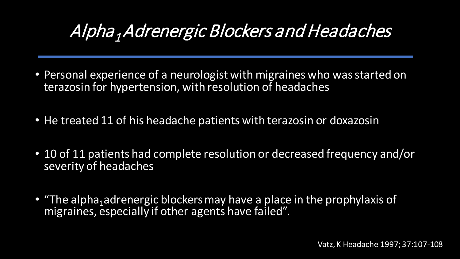# Alpha <sup>1</sup>Adrenergic Blockers and Headaches

- Personal experience of a neurologist with migraines who was started on terazosin for hypertension, with resolution of headaches
- He treated 11 of his headache patients with terazosin or doxazosin
- 10 of 11 patients had complete resolution or decreased frequency and/or severity of headaches
- "The alpha<sub>1</sub>adrenergic blockers may have a place in the prophylaxis of migraines, especially if other agents have failed".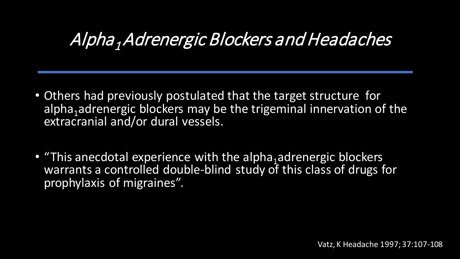#### Alpha <sup>1</sup>Adrenergic Blockers and Headaches

- Others had previously postulated that the target structure for alpha<sub>1</sub> adrenergic blockers may be the trigeminal innervation of the extracranial and/or dural vessels.
- "This anecdotal experience with the alpha<sub>1</sub>adrenergic blockers warrants a controlled double-blind study of this class of drugs for prophylaxis of migraines".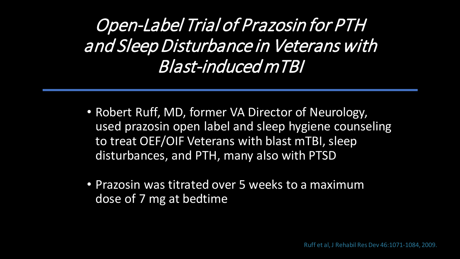Open-Label Trial of Prazosin for PTH and Sleep Disturbance in Veterans with Blast-induced mTBI

- Robert Ruff, MD, former VA Director of Neurology, used prazosin open label and sleep hygiene counseling to treat OEF/OIF Veterans with blast mTBI, sleep disturbances, and PTH, many also with PTSD
- Prazosin was titrated over 5 weeks to a maximum dose of 7 mg at bedtime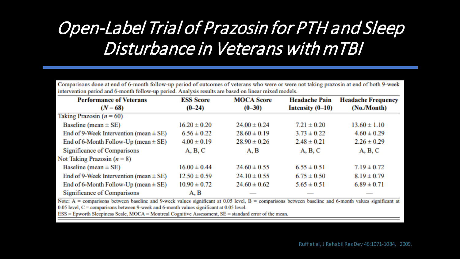# Open-Label Trial of Prazosin for PTH and Sleep Disturbance in Veterans with mTBI

Comparisons done at end of 6-month follow-up period of outcomes of veterans who were or were not taking prazosin at end of both 9-week intervention period and 6-month follow-up period. Analysis results are based on linear mixed models.

| <b>Performance of Veterans</b>             | <b>ESS Score</b> | <b>MOCA Score</b> | <b>Headache Pain</b> | <b>Headache Frequency</b> |
|--------------------------------------------|------------------|-------------------|----------------------|---------------------------|
| $(N = 68)$                                 | $(0-24)$         | $(0-30)$          | Intensity $(0-10)$   | (No./Month)               |
| Taking Prazosin $(n = 60)$                 |                  |                   |                      |                           |
| Baseline (mean $\pm$ SE)                   | $16.20 \pm 0.20$ | $24.00 \pm 0.24$  | $7.21 \pm 0.20$      | $13.60 \pm 1.10$          |
| End of 9-Week Intervention (mean $\pm$ SE) | $6.56 \pm 0.22$  | $28.60 \pm 0.19$  | $3.73 \pm 0.22$      | $4.60 \pm 0.29$           |
| End of 6-Month Follow-Up (mean $\pm$ SE)   | $4.00 \pm 0.19$  | $28.90 \pm 0.26$  | $2.48 \pm 0.21$      | $2.26 \pm 0.29$           |
| Significance of Comparisons                | A, B, C          | A, B              | A, B, C              | A, B, C                   |
| Not Taking Prazosin $(n = 8)$              |                  |                   |                      |                           |
| Baseline (mean $\pm$ SE)                   | $16.00 \pm 0.44$ | $24.60 \pm 0.55$  | $6.55 \pm 0.51$      | $7.19 \pm 0.72$           |
| End of 9-Week Intervention (mean $\pm$ SE) | $12.50 \pm 0.59$ | $24.10 \pm 0.55$  | $6.75 \pm 0.50$      | $8.19 \pm 0.79$           |
| End of 6-Month Follow-Up (mean $\pm$ SE)   | $10.90 \pm 0.72$ | $24.60 \pm 0.62$  | $5.65 \pm 0.51$      | $6.89 \pm 0.71$           |
| Significance of Comparisons                | A, B             |                   |                      |                           |

Note: A = comparisons between baseline and 9-week values significant at 0.05 level, B = comparisons between baseline and 6-month values significant at  $0.05$  level,  $C =$  comparisons between 9-week and 6-month values significant at 0.05 level.

 $ESS = E$  pworth Sleepiness Scale, MOCA = Montreal Cognitive Assessment,  $SE =$  standard error of the mean.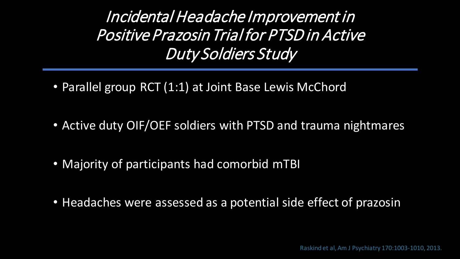Incidental Headache Improvement in Positive Prazosin Trial for PTSD in Active Duty Soldiers Study

- Parallel group RCT (1:1) at Joint Base Lewis McChord
- Active duty OIF/OEF soldiers with PTSD and trauma nightmares
- Majority of participants had comorbid mTBI
- Headaches were assessed as a potential side effect of prazosin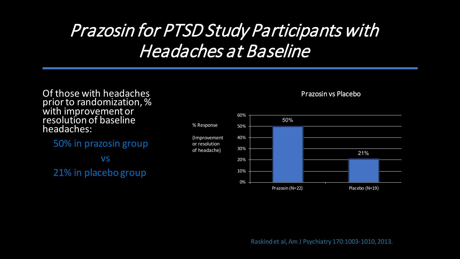## Prazosin for PTSD Study Participants with Headaches at Baseline

#### Of those with headaches prior to randomization, % with improvement or resolution of baseline headaches:

50% in prazosin group vs

21% in placebo group



or resolution of headache)





Raskind et al, Am J Psychiatry 170:1003-1010, 2013.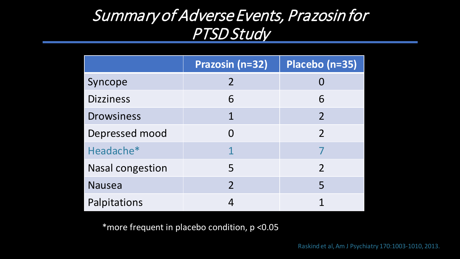#### Summary of Adverse Events, Prazosin for PTSD Study

|                         | Prazosin (n=32)          | Placebo (n=35)           |
|-------------------------|--------------------------|--------------------------|
| Syncope                 | $\overline{\mathcal{L}}$ |                          |
| <b>Dizziness</b>        | 6                        | 6                        |
| <b>Drowsiness</b>       | 1                        | $\overline{\mathcal{L}}$ |
| Depressed mood          |                          | 2                        |
| Headache*               |                          |                          |
| <b>Nasal congestion</b> | 5                        |                          |
| <b>Nausea</b>           | $\overline{\mathcal{L}}$ | 5                        |
| Palpitations            |                          |                          |

\*more frequent in placebo condition, p <0.05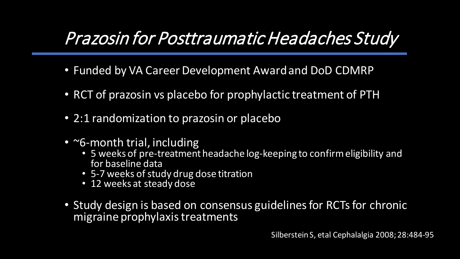#### Prazosin for Posttraumatic Headaches Study

- Funded by VA Career Development Award and DoD CDMRP
- RCT of prazosin vs placebo for prophylactic treatment of PTH
- 2:1 randomization to prazosin or placebo
- ~6-month trial, including
	- 5 weeks of pre-treatment headache log-keeping to confirm eligibility and for baseline data
	- 5-7 weeks of study drug dose titration
	- 12 weeks at steady dose
- Study design is based on consensus guidelines for RCTs for chronic migraine prophylaxis treatments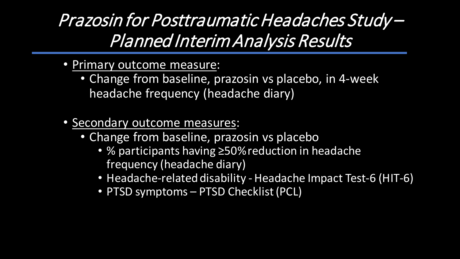Prazosin for Posttraumatic Headaches Study – Planned Interim Analysis Results

- Primary outcome measure:
	- Change from baseline, prazosin vs placebo, in 4-week headache frequency (headache diary)
- Secondary outcome measures:
	- Change from baseline, prazosin vs placebo
		- % participants having ≥50% reduction in headache frequency (headache diary)
		- Headache-related disability Headache Impact Test-6 (HIT-6)
		- PTSD symptoms PTSD Checklist (PCL)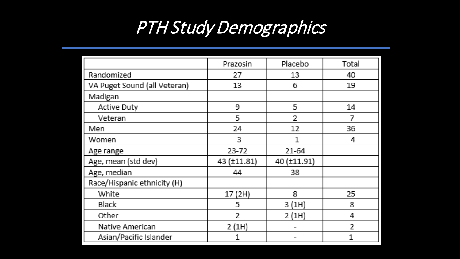### PTH Study Demographics

|                              | Prazosin       | Placebo        | Total          |
|------------------------------|----------------|----------------|----------------|
| Randomized                   | 27             | 13.            | 40             |
| VA Puget Sound (all Veteran) | 13             | 6              | 19             |
| Madigan                      |                |                |                |
| <b>Active Duty</b>           | 9              | 5              | 14             |
| Veteran                      | 5              | $\overline{2}$ | $\overline{I}$ |
| Men                          | 24             | 12             | 36             |
| Women                        | 3              | 1              | 4              |
| Age range                    | $23 - 72$      | 21-64          |                |
| Age, mean (std dev)          | 43 (±11.81)    | 40 (±11.91)    |                |
| Age, median                  | 44             | 38             |                |
| Race/Hispanic ethnicity (H)  |                |                |                |
| White                        | 17 (2H)        | 8              | 25             |
| <b>Black</b>                 | 5.             | 3(1H)          | 8.             |
| Other                        | $\overline{2}$ | 2(1H)          | 4              |
| Native American              | 2(1H)          |                | 2              |
| Asian/Pacific Islander       | 1              |                | 1              |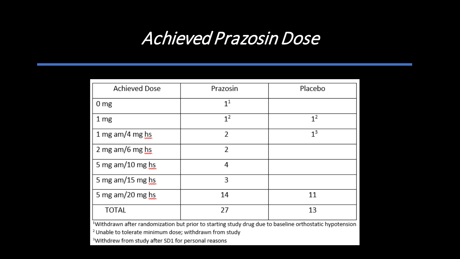#### Achieved Prazosin Dose

| Prazosin         | Placebo        |
|------------------|----------------|
| $1^{\mathsf{1}}$ |                |
| 1 <sup>2</sup>   | 1 <sup>2</sup> |
| 2                | 1 <sup>3</sup> |
| 2                |                |
| 4                |                |
| 3                |                |
| 14               | 11             |
| 27               | 13             |
|                  |                |

Withdrawn after randomization but prior to starting study drug due to baseline orthostatic hypotension '

<sup>2</sup> Unable to tolerate minimum dose; withdrawn from study

<sup>3</sup>Withdrew from study after SD1 for personal reasons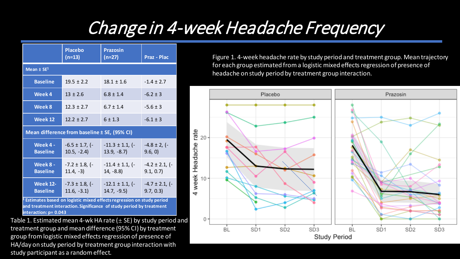# Change in 4-week Headache Frequency

|                                    | <b>Placebo</b><br>$(n=13)$                   | <b>Prazosin</b><br>$(n=27)$          | <b>Praz - Plac</b>              |  |  |
|------------------------------------|----------------------------------------------|--------------------------------------|---------------------------------|--|--|
| Mean $\pm$ SE <sup>1</sup>         |                                              |                                      |                                 |  |  |
| <b>Baseline</b>                    | $19.5 \pm 2.2$                               | $18.1 \pm 1.6$                       | $-1.4 \pm 2.7$                  |  |  |
| Week 4                             | $13 \pm 2.6$                                 | $6.8 \pm 1.4$                        | $-6.2 \pm 3$                    |  |  |
| Week 8                             | $12.3 \pm 2.7$                               | $6.7 \pm 1.4$                        | $-5.6 \pm 3$                    |  |  |
| Week 12                            | $12.2 \pm 2.7$                               | 6 ± 1.3                              | $-6.1 \pm 3$                    |  |  |
|                                    | Mean difference from baseline ± SE, (95% CI) |                                      |                                 |  |  |
| Week 4 -<br><b>Baseline</b>        | $-6.5 \pm 1.7$ , (-<br>$10.5, -2.4$          | $-11.3 \pm 1.1$ , (-<br>$13.9, -8.7$ | $-4.8 \pm 2, (-$<br>9.6, 0)     |  |  |
| Week 8 -<br><b>Baseline</b>        | $-7.2 \pm 1.8$ , (-<br>$11.4, -3)$           | $-11.4 \pm 1.1$ , (-<br>$14, -8.8$   | $-4.2 \pm 2.1$ , (-<br>9.1, 0.7 |  |  |
| <b>Week 12-</b><br><b>Baseline</b> | $-7.3 \pm 1.8$ , (-<br>$11.6, -3.1$          | $-12.1 \pm 1.1$ , (-<br>$14.7, -9.5$ | $-4.7 \pm 2.1$ , (-<br>9.7, 0.3 |  |  |

**<sup>1</sup> Estimates based on logistic mixed effects regression on study period and treatment interaction. Significance of study period by treatment interaction: p= 0.043**

Table 1. Estimated mean 4-wk HA rate  $(\pm S E)$  by study period and treatment group and mean difference (95% CI) by treatment group from logistic mixed effects regression of presence of HA/day on study period by treatment group interaction with study participant as a random effect.

Figure 1. 4-week headache rate by study period and treatment group. Mean trajectory for each group estimated from a logistic mixed effects regression of presence of headache on study period by treatment group interaction.

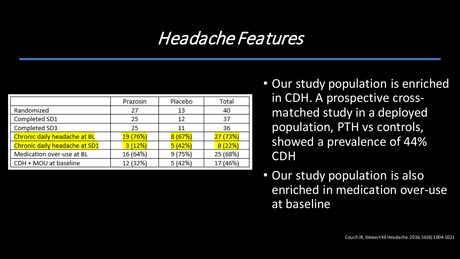#### Headache Features

| Prazosin | Placebo | Total    |
|----------|---------|----------|
| 27       | 13      | 40       |
| 25       | 12      | 37       |
| 25       | 11      | 36       |
| 19 (76%) | 8(67%)  | 27 (73%) |
| 3(12%)   | 5(42%)  | 8(22%)   |
| 16 (64%) | 9 (75%) | 25 (68%) |
| 12 (32%) | 5 (42%) | 17 (46%) |
|          |         |          |

- Our study population is enriched in CDH. A prospective crossmatched study in a deployed population, PTH vs controls, showed a prevalence of 44% CDH
- Our study population is also enriched in medication over-use at baseline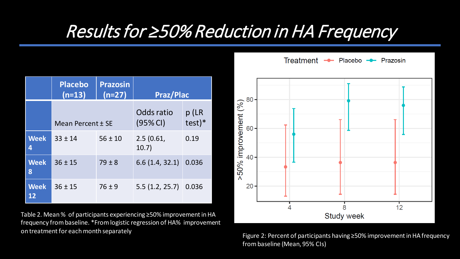#### Results for ≥50% Reduction in HA Frequency

|                   | <b>Placebo</b><br>$(n=13)$ | <b>Prazosin</b><br>$(n=27)$ | <b>Praz/Plac</b>       |                   |
|-------------------|----------------------------|-----------------------------|------------------------|-------------------|
|                   | Mean Percent ± SE          |                             | Odds ratio<br>(95% CI) | p (LR<br>$test)*$ |
| <b>Week</b><br>4  | $33 \pm 14$                | $56 \pm 10$                 | 2.5(0.61,<br>10.7)     | 0.19              |
| <b>Week</b><br>8  | $36 \pm 15$                | $79 \pm 8$                  | 6.6(1.4, 32.1)         | 0.036             |
| <b>Week</b><br>12 | $36 \pm 15$                | $76 \pm 9$                  | 5.5(1.2, 25.7)         | 0.036             |

Table 2. Mean % of participants experiencing ≥50% improvement in HA frequency from baseline. \*From logistic regression of HA% improvement on treatment for each month separately Figure 2: Percent of participants having ≥50% improvement in HA frequency

. 80 50% improvement (%) 60 40 20  $12$ 8 **Study week** 

- Placebo - Prazosin

**Treatment** 

from baseline (Mean, 95% CIs)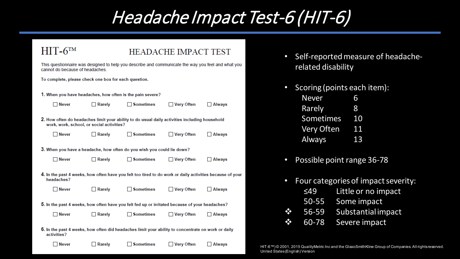#### Headache Impact Test-6 (HIT-6)

#### $HIT-6<sup>TM</sup>$  HEADACHE IMPACT TEST

| This questionnaire was designed to help you describe and communicate the way you feel and what you |  |
|----------------------------------------------------------------------------------------------------|--|
| cannot do because of headaches.                                                                    |  |

**Headache Impact Test (HIT-6)** 

To complete, please check one box for each question.

1. When you have headaches, how often is the pain severe?

| ______ |
|--------|
|--------|

 $\Box$  Rarely  $\Box$  Sometimes

 $\Box$  Always

2. How often do headaches limit your ability to do usual daily activities including household work, work, school, or social activities?

| <b>Never</b> | $\Box$ Rarely | Sometimes | □ Very Often | Always |
|--------------|---------------|-----------|--------------|--------|
|--------------|---------------|-----------|--------------|--------|

3. When you have a headache, how often do you wish you could lie down?

| <b>Never</b> | $\Box$ Rarely | $\Box$ Sometimes | □ Very Often |
|--------------|---------------|------------------|--------------|
|              |               |                  |              |

work in the past 4 weeks, now often have you fell.<br>Neadaches?

| $\Box$ Never | $\Box$ Rarely | $\Box$ Sometimes | ∐ Very Often | Always |
|--------------|---------------|------------------|--------------|--------|

5. In the past 4 weeks, how often have you felt fed up or irritated because of your headaches?

| $\Box$ Never | $\Box$ Rarely |
|--------------|---------------|

 $\Box$  Very Often  $\Box$  Always

6. In the past 4 weeks, how often did headaches limit your ability to concentrate on work or daily activities?

 $\Box$  Sometimes

l Never

| $\Box$ Rarely | <b>Sometimes</b> |
|---------------|------------------|
|---------------|------------------|

∐ Very Often ∐ Always

- Self-reported measure of headacherelated disability
- Scoring (points each item):

| <b>Never</b>      | 6  |
|-------------------|----|
| Rarely            | 8  |
| Sometimes         | 10 |
| <b>Very Often</b> | 11 |
| <b>Always</b>     | 13 |

- Possible point range 36-78
- Four categories of impact severity: ≤49 Little or no impact
	- 50-55 Some impact
- 56-59 Substantial impact  $\mathbf{v}$
- 60-78 Severe impact  $\frac{1}{2}$

HIT-6™)© 2001, 2015 QualityMetric Inc and the GlaxoSmithKline Group of Companies. All rights reserved. United States (English) Version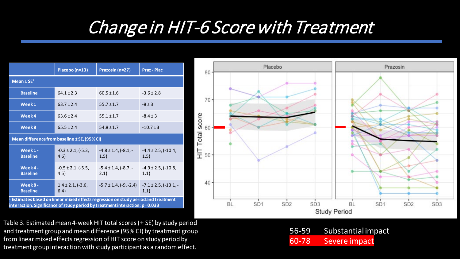#### Change in HIT-6 Score with Treatment

|                                                                                                               | Placebo (n=13)                      | Prazosin (n=27)                     | <b>Praz - Plac</b>                   |  |  |
|---------------------------------------------------------------------------------------------------------------|-------------------------------------|-------------------------------------|--------------------------------------|--|--|
| Mean $±$ SE <sup>1</sup>                                                                                      |                                     |                                     |                                      |  |  |
| <b>Baseline</b>                                                                                               | $64.1 \pm 2.3$                      | $60.5 \pm 1.6$                      | $-3.6 \pm 2.8$                       |  |  |
| Week1                                                                                                         | $63.7 \pm 2.4$                      | $55.7 \pm 1.7$                      | $-8 \pm 3$                           |  |  |
| Week4                                                                                                         | $63.6 \pm 2.4$                      | $55.1 \pm 1.7$                      | $-8.4 \pm 3$                         |  |  |
| Week8                                                                                                         | $65.5 \pm 2.4$                      | $54.8 \pm 1.7$                      | $-10.7 \pm 3$                        |  |  |
| Mean difference from baseline ± SE, (95% CI)                                                                  |                                     |                                     |                                      |  |  |
| Week1-<br><b>Baseline</b>                                                                                     | $-0.3 \pm 2.1$ , $(-5.3)$ ,<br>4.6) | $-4.8 \pm 1.4$ , $(-8.1, -$<br>1.5) | $-4.4 \pm 2.5$ , $(-10.4)$<br>1.5)   |  |  |
| Week4-<br><b>Baseline</b>                                                                                     | $-0.5 \pm 2.1$ , $(-5.5)$ ,<br>4.5) | $-5.4 \pm 1.4$ , $(-8.7)$ .<br>2.1) | $-4.9 \pm 2.5$ , ( $-10.8$ )<br>1.1) |  |  |
| Week8-<br><b>Baseline</b><br>Estimates based on linear mixed effects regression on study neriod and treatment | $1.4 \pm 2.1$ , (-3.6,<br>6.4)      | $-5.7 \pm 1.4$ , $(-9, -2.4)$       | $-7.1 \pm 2.5$ , $(-13.1)$<br>1.1)   |  |  |

**<sup>1</sup> Estimates based on linear mixed effects regression on study period and treatment interaction. Significance of study period by treatment interaction: p= 0.033**

Table 3. Estimated mean 4-week HIT total scores  $(\pm S_E)$  by study period and treatment group and mean difference (95% CI) by treatment group from linear mixed effects regression of HIT score on study period by treatment group interaction with study participant as a random effect.



|       | 56-59 Substantial impact |
|-------|--------------------------|
| 60-78 | Severe impact            |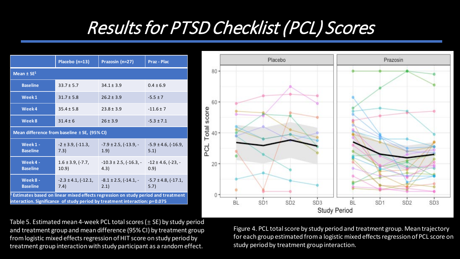# Results for PTSD Checklist (PCL) Scores

|                                                                                                                                                                 | Placebo (n=13)                               | Prazosin (n=27)                          | <b>Praz - Plac</b>                   |
|-----------------------------------------------------------------------------------------------------------------------------------------------------------------|----------------------------------------------|------------------------------------------|--------------------------------------|
| Mean $\pm$ SE <sup>1</sup>                                                                                                                                      |                                              |                                          |                                      |
| <b>Baseline</b>                                                                                                                                                 | $33.7 \pm 5.7$                               | $34.1 \pm 3.9$                           | $0.4 \pm 6.9$                        |
| Week1                                                                                                                                                           | $31.7 \pm 5.8$                               | $26.2 \pm 3.9$                           | $-5.5 \pm 7$                         |
| Week4                                                                                                                                                           | $35.4 \pm 5.8$                               | $23.8 \pm 3.9$                           | $-11.6 \pm 7$                        |
| Week8                                                                                                                                                           | $31.4 \pm 6$                                 | $26 \pm 3.9$                             | $-5.3 \pm 7.1$                       |
|                                                                                                                                                                 | Mean difference from baseline ± SE, (95% CI) |                                          |                                      |
| Week1-<br><b>Baseline</b>                                                                                                                                       | $-2 \pm 3.9$ , $(-11.3)$ ,<br>7.3)           | $-7.9 \pm 2.5$ , ( $-13.9$ , $-$<br>1.9) | $-5.9 \pm 4.6$ , ( $-16.9$ )<br>5.1) |
| Week4-<br><b>Baseline</b>                                                                                                                                       | $1.6 \pm 3.9$ , (-7.7,<br>10.9)              | $-10.3 \pm 2.5$ , $(-16.3, -$<br>4.3)    | $-12 \pm 4.6$ , (-23, -<br>(0.9)     |
| Week8-<br><b>Baseline</b>                                                                                                                                       | $-2.3 \pm 4.1, (-12.1,$<br>7.4)              | $-8.1 \pm 2.5$ , $(-14.1, -$<br>2.1)     | $-5.7 \pm 4.8$ , $(-17.1)$ ,<br>5.7) |
| Estimates based on linear mixed effects regression on study period and treatment<br>interaction. Significance of study period by treatment interaction: p=0.075 |                                              |                                          |                                      |

Table 5. Estimated mean 4-week PCL total scores ( $\pm$  SE) by study period and treatment group and mean difference (95% CI) by treatment group from logistic mixed effects regression of HIT score on study period by treatment group interaction with study participant as a random effect.



Figure 4. PCL total score by study period and treatment group. Mean trajectory for each group estimated from a logistic mixed effects regression of PCL score on study period by treatment group interaction.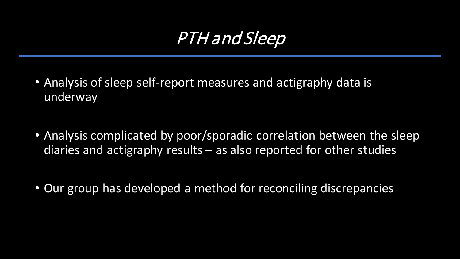## PTH and Sleep

- Analysis of sleep self-report measures and actigraphy data is underway
- Analysis complicated by poor/sporadic correlation between the sleep diaries and actigraphy results – as also reported for other studies
- Our group has developed a method for reconciling discrepancies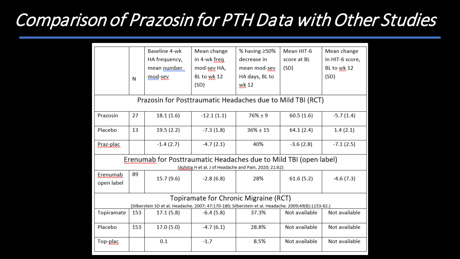## Comparison of Prazosin for PTH Data with Other Studies

|                                                                                                                                               | N                                                          | Baseline 4-wk<br>HA frequency,<br>mean number<br>mod-sey          | Mean change<br>in 4-wk freg<br>mod-sey HA,<br>BL to wk 12<br>(SD) | % having $\geq 50\%$<br>decrease in<br>mean mod-sey<br>HA days, BL to<br>wk 12 | Mean HIT-6<br>score at BL<br>(SD) | Mean change<br>in HIT-6 score,<br>BL to wk 12<br>(SD) |
|-----------------------------------------------------------------------------------------------------------------------------------------------|------------------------------------------------------------|-------------------------------------------------------------------|-------------------------------------------------------------------|--------------------------------------------------------------------------------|-----------------------------------|-------------------------------------------------------|
|                                                                                                                                               | Prazosin for Posttraumatic Headaches due to Mild TBI (RCT) |                                                                   |                                                                   |                                                                                |                                   |                                                       |
| Prazosin                                                                                                                                      | 27                                                         | 18.1(1.6)                                                         | $-12.1(1.1)$                                                      | $76\% + 9$                                                                     | 60.5(1.6)                         | $-5.7(1.4)$                                           |
| Placebo                                                                                                                                       | 13                                                         | 19.5(2.2)                                                         | $-7.3(1.8)$                                                       | $36\% \pm 15$                                                                  | 64.1(2.4)                         | 1.4(2.1)                                              |
| Praz-plac                                                                                                                                     |                                                            | $-1.4(2.7)$                                                       | $-4.7(2.1)$                                                       | 40%                                                                            | $-3.6(2.8)$                       | $-7.1(2.5)$                                           |
|                                                                                                                                               |                                                            | Erenumab for Posttraumatic Headaches due to Mild TBI (open label) | (Ashina, H et al. J of Headache and Pain. 2020; 21:62)            |                                                                                |                                   |                                                       |
| Erenumab<br>open label                                                                                                                        | 89                                                         | 15.7(9.6)                                                         | $-2.8(6.8)$                                                       | 28%                                                                            | 61.6(5.2)                         | $-4.6(7.3)$                                           |
| Topiramate for Chronic Migraine (RCT)<br>(Silberstein SD et al. Headache. 2007; 47:170-180; Silberstein et al. Headache. 2009;49(8):1153-62.) |                                                            |                                                                   |                                                                   |                                                                                |                                   |                                                       |
| Topiramate                                                                                                                                    | 153                                                        | 17.1(5.8)                                                         | $-6.4(5.8)$                                                       | 37.3%                                                                          | Not available                     | Not available                                         |
| Placebo                                                                                                                                       | 153                                                        | 17.0(5.0)                                                         | $-4.7(6.1)$                                                       | 28.8%                                                                          | Not available                     | Not available                                         |
| Top-plac                                                                                                                                      |                                                            | 0.1                                                               | $-1.7$                                                            | 8.5%                                                                           | Not available                     | Not available                                         |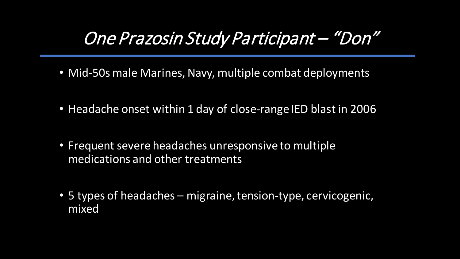### One Prazosin Study Participant – "Don"

- Mid-50s male Marines, Navy, multiple combat deployments
- Headache onset within 1 day of close-range IED blast in 2006
- Frequent severe headaches unresponsive to multiple medications and other treatments
- 5 types of headaches migraine, tension-type, cervicogenic, mixed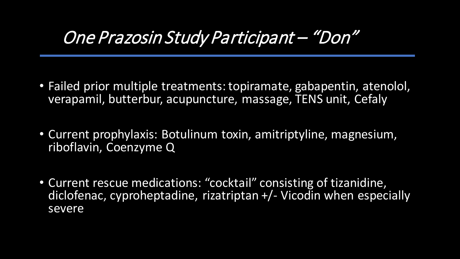#### One Prazosin Study Participant – "Don"

- Failed prior multiple treatments: topiramate, gabapentin, atenolol, verapamil, butterbur, acupuncture, massage, TENS unit, Cefaly
- Current prophylaxis: Botulinum toxin, amitriptyline, magnesium, riboflavin, Coenzyme Q
- Current rescue medications: "cocktail" consisting of tizanidine, diclofenac, cyproheptadine, rizatriptan +/- Vicodin when especially severe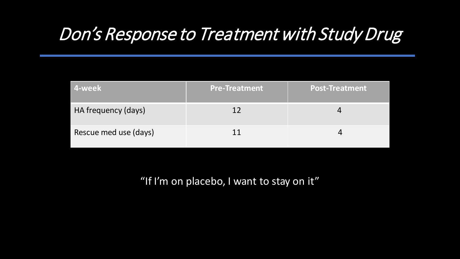## Don's Response to Treatment with Study Drug

| 4-week                | <b>Pre-Treatment</b> | <b>Post-Treatment</b> |
|-----------------------|----------------------|-----------------------|
| HA frequency (days)   | 17                   |                       |
| Rescue med use (days) |                      |                       |

"If I'm on placebo, I want to stay on it"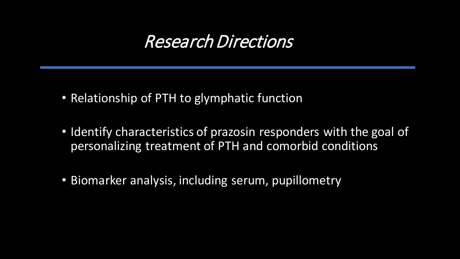#### Research Directions

- Relationship of PTH to glymphatic function
- Identify characteristics of prazosin responders with the goal of personalizing treatment of PTH and comorbid conditions
- Biomarker analysis, including serum, pupillometry